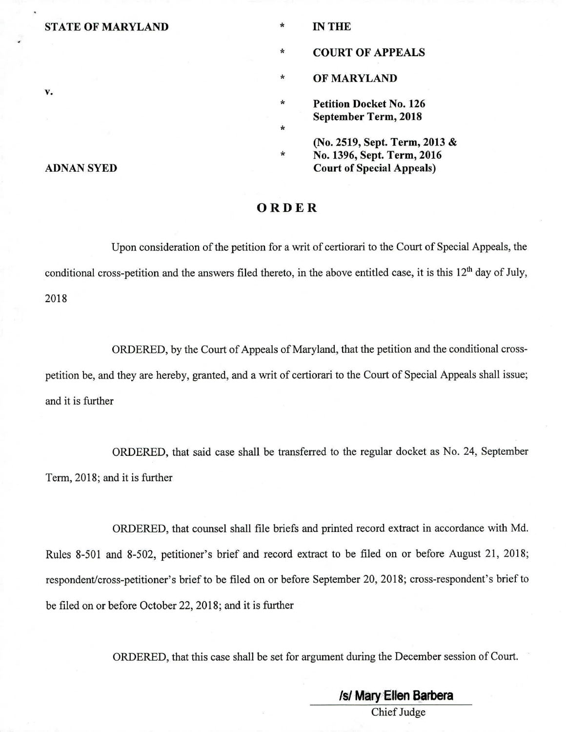### **STATE OF MARYLAND**

**IN THE** 

 $\star$ 

 $\star$ 

 $\star$ 

\* **COURT OF APPEALS** 

 $\star$ **OF MARYLAND** 

 $\star$ **Petition Docket No. 126 September Term, 2018** 

**(No. 2519, Sept. Term, 2013 & No. 1396, Sept. Term, 2016 Court of Special Appeals)** 

### **ORDER**

Upon consideration of the petition for a writ of certiorari to the Court of Special Appeals, the conditional cross-petition and the answers filed thereto, in the above entitled case, it is this 12<sup>th</sup> day of July, 2018

ORDERED, by the Court of Appeals of Maryland, that the petition and the conditional crosspetition be, and they are hereby, granted, and a writ of certiorari to the Court of Special Appeals shall issue; and it is further

ORDERED, that said case shall be transferred to the regular docket as No. 24, September Term, 2018; and it is further

ORDERED, that counsel shall file briefs and printed record extract in accordance with Md. Rules 8-501 and 8-502, petitioner's brief and record extract to be filed on or before August 21, 2018; respondent/cross-petitioner's brief to be filed on or before September 20, 2018; cross-respondent's brief to be filed on or before October 22, 2018; and it is further

ORDERED, that this case shall be set for argument during the December session of Court.

### **ADNAN SYED**

**V.** 

# /s/ Mary Ellen Barbera Chief Judge